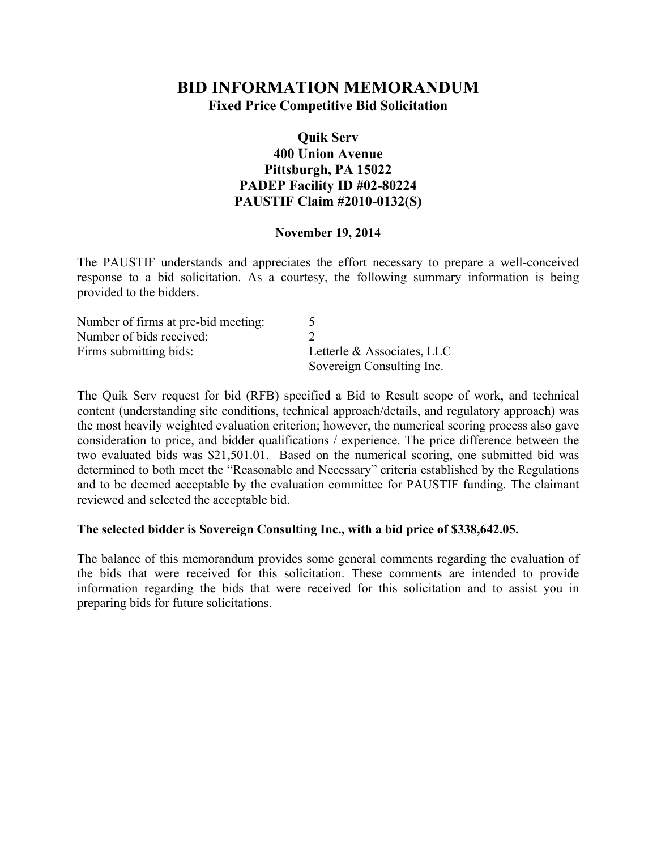# **BID INFORMATION MEMORANDUM Fixed Price Competitive Bid Solicitation**

### **Quik Serv 400 Union Avenue Pittsburgh, PA 15022 PADEP Facility ID #02-80224 PAUSTIF Claim #2010-0132(S)**

#### **November 19, 2014**

The PAUSTIF understands and appreciates the effort necessary to prepare a well-conceived response to a bid solicitation. As a courtesy, the following summary information is being provided to the bidders.

| Number of firms at pre-bid meeting: |                            |
|-------------------------------------|----------------------------|
| Number of bids received:            |                            |
| Firms submitting bids:              | Letterle & Associates, LLC |
|                                     | Sovereign Consulting Inc.  |

The Quik Serv request for bid (RFB) specified a Bid to Result scope of work, and technical content (understanding site conditions, technical approach/details, and regulatory approach) was the most heavily weighted evaluation criterion; however, the numerical scoring process also gave consideration to price, and bidder qualifications / experience. The price difference between the two evaluated bids was \$21,501.01. Based on the numerical scoring, one submitted bid was determined to both meet the "Reasonable and Necessary" criteria established by the Regulations and to be deemed acceptable by the evaluation committee for PAUSTIF funding. The claimant reviewed and selected the acceptable bid.

#### **The selected bidder is Sovereign Consulting Inc., with a bid price of \$338,642.05.**

The balance of this memorandum provides some general comments regarding the evaluation of the bids that were received for this solicitation. These comments are intended to provide information regarding the bids that were received for this solicitation and to assist you in preparing bids for future solicitations.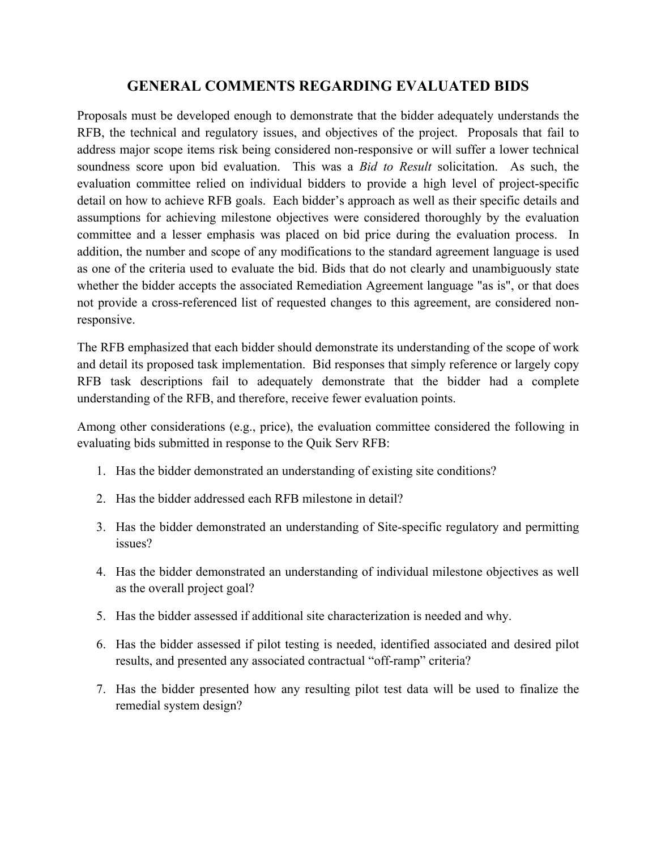## **GENERAL COMMENTS REGARDING EVALUATED BIDS**

Proposals must be developed enough to demonstrate that the bidder adequately understands the RFB, the technical and regulatory issues, and objectives of the project. Proposals that fail to address major scope items risk being considered non-responsive or will suffer a lower technical soundness score upon bid evaluation. This was a *Bid to Result* solicitation. As such, the evaluation committee relied on individual bidders to provide a high level of project-specific detail on how to achieve RFB goals. Each bidder's approach as well as their specific details and assumptions for achieving milestone objectives were considered thoroughly by the evaluation committee and a lesser emphasis was placed on bid price during the evaluation process. In addition, the number and scope of any modifications to the standard agreement language is used as one of the criteria used to evaluate the bid. Bids that do not clearly and unambiguously state whether the bidder accepts the associated Remediation Agreement language "as is", or that does not provide a cross-referenced list of requested changes to this agreement, are considered nonresponsive.

The RFB emphasized that each bidder should demonstrate its understanding of the scope of work and detail its proposed task implementation. Bid responses that simply reference or largely copy RFB task descriptions fail to adequately demonstrate that the bidder had a complete understanding of the RFB, and therefore, receive fewer evaluation points.

Among other considerations (e.g., price), the evaluation committee considered the following in evaluating bids submitted in response to the Quik Serv RFB:

- 1. Has the bidder demonstrated an understanding of existing site conditions?
- 2. Has the bidder addressed each RFB milestone in detail?
- 3. Has the bidder demonstrated an understanding of Site-specific regulatory and permitting issues?
- 4. Has the bidder demonstrated an understanding of individual milestone objectives as well as the overall project goal?
- 5. Has the bidder assessed if additional site characterization is needed and why.
- 6. Has the bidder assessed if pilot testing is needed, identified associated and desired pilot results, and presented any associated contractual "off-ramp" criteria?
- 7. Has the bidder presented how any resulting pilot test data will be used to finalize the remedial system design?